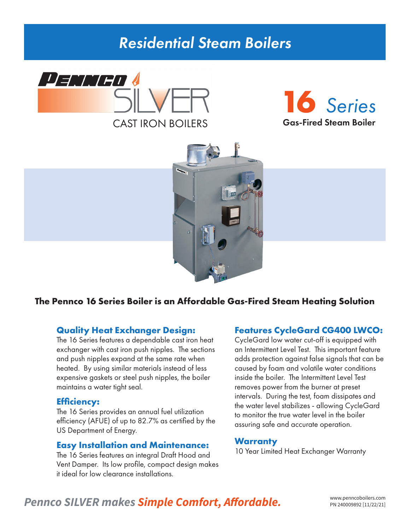# *Residential Steam Boilers*







### **The Pennco 16 Series Boiler is an Affordable Gas-Fired Steam Heating Solution**

### **Quality Heat Exchanger Design:**

The 16 Series features a dependable cast iron heat exchanger with cast iron push nipples. The sections and push nipples expand at the same rate when heated. By using similar materials instead of less expensive gaskets or steel push nipples, the boiler maintains a water tight seal.

### **Efficiency:**

The 16 Series provides an annual fuel utilization efficiency (AFUE) of up to 82.7% as certified by the US Department of Energy.

### **Easy Installation and Maintenance:**

The 16 Series features an integral Draft Hood and Vent Damper. Its low profile, compact design makes it ideal for low clearance installations.

### **Features CycleGard CG400 LWCO:**

CycleGard low water cut-off is equipped with an Intermittent Level Test. This important feature adds protection against false signals that can be caused by foam and volatile water conditions inside the boiler. The Intermittent Level Test removes power from the burner at preset intervals. During the test, foam dissipates and the water level stabilizes - allowing CycleGard to monitor the true water level in the boiler assuring safe and accurate operation.

### **Warranty**

10 Year Limited Heat Exchanger Warranty

## Pennco SILVER makes **Simple Comfort, Affordable.** WWW.penncoboilers.com